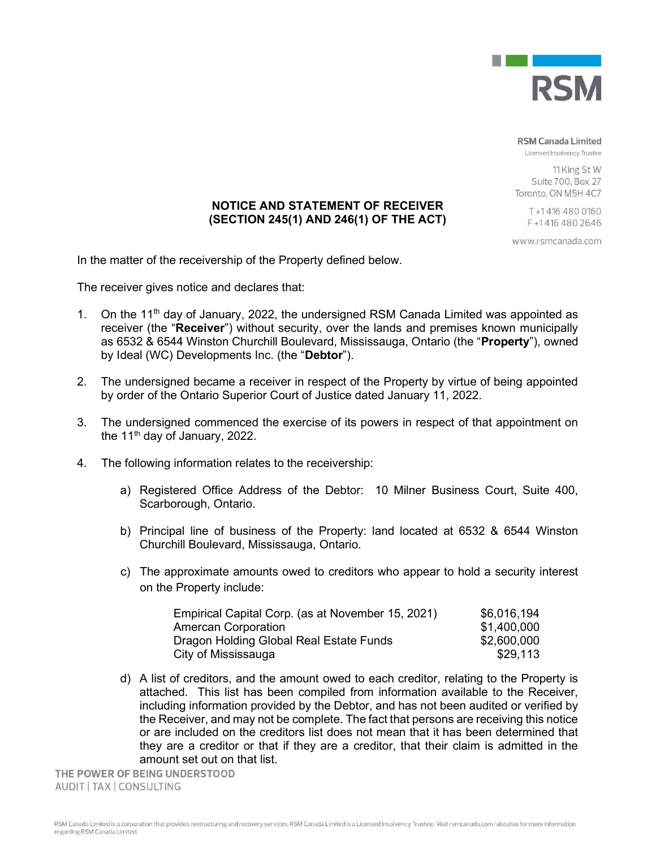

**RSM Canada Limited** 

Licensed Insolvency Trustee

11 King St W Suite 700, Box 27 Toronto, ON M5H 4C7

> T+14164800160 F+14164802646

www.rsmcanada.com

(SECTION 245(1) AND 246(1) OF THE ACT)

In the matter of the receivership of the Property defined below.

The receiver gives notice and declares that:

1. On the 11<sup>th</sup> day of January, 2022, the undersigned RSM Canada Limited was appointed as receiver (the "Receiver") without security, over the lands and premises known municipally as 6532 & 6544 Winston Churchill Boulevard, Mississauga, Ontario (the "Property"), owned by Ideal (WC) Developments Inc. (the "Debtor").

NOTICE AND STATEMENT OF RECEIVER

- 2. The undersigned became a receiver in respect of the Property by virtue of being appointed by order of the Ontario Superior Court of Justice dated January 11, 2022.
- 3. The undersigned commenced the exercise of its powers in respect of that appointment on the 11<sup>th</sup> day of January, 2022.
- 4. The following information relates to the receivership:
	- a) Registered Office Address of the Debtor: 10 Milner Business Court, Suite 400, Scarborough, Ontario.
	- b) Principal line of business of the Property: land located at 6532 & 6544 Winston Churchill Boulevard, Mississauga, Ontario.
	- c) The approximate amounts owed to creditors who appear to hold a security interest on the Property include:

| Empirical Capital Corp. (as at November 15, 2021) | \$6,016,194 |
|---------------------------------------------------|-------------|
| <b>Amercan Corporation</b>                        | \$1,400,000 |
| Dragon Holding Global Real Estate Funds           | \$2,600,000 |
| City of Mississauga                               | \$29.113    |

d) A list of creditors, and the amount owed to each creditor, relating to the Property is attached. This list has been compiled from information available to the Receiver, including information provided by the Debtor, and has not been audited or verified by the Receiver, and may not be complete. The fact that persons are receiving this notice or are included on the creditors list does not mean that it has been determined that they are a creditor or that if they are a creditor, that their claim is admitted in the amount set out on that list.

THE POWER OF BEING UNDERSTOOD AUDIT | TAX | CONSULTING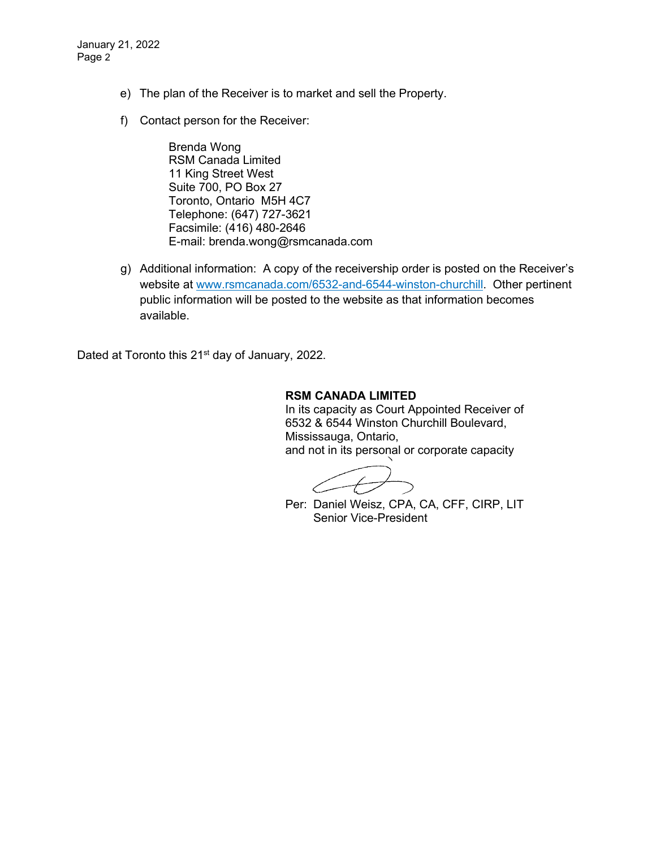January 21, 2022 Page 2

- e) The plan of the Receiver is to market and sell the Property.
- f) Contact person for the Receiver:

Brenda Wong RSM Canada Limited 11 King Street West Suite 700, PO Box 27 Toronto, Ontario M5H 4C7 Telephone: (647) 727-3621 Facsimile: (416) 480-2646 E-mail: brenda.wong@rsmcanada.com

g) Additional information: A copy of the receivership order is posted on the Receiver's website at www.rsmcanada.com/6532-and-6544-winston-churchill. Other pertinent public information will be posted to the website as that information becomes available.

Dated at Toronto this 21<sup>st</sup> day of January, 2022.

## **RSM CANADA LIMITED**

In its capacity as Court Appointed Receiver of 6532 & 6544 Winston Churchill Boulevard, Mississauga, Ontario, and not in its personal or corporate capacity

Per: Daniel Weisz, CPA, CA, CFF, CIRP, LIT Senior Vice-President